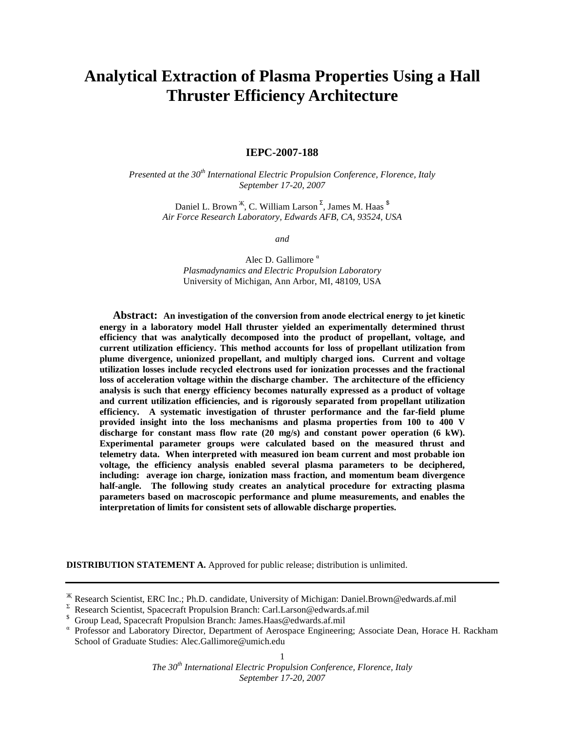# **Analytical Extraction of Plasma Properties Using a Hall Thruster Efficiency Architecture**

## **IEPC-2007-188**

*Presented at the 30th International Electric Propulsion Conference, Florence, Italy September 17-20, 2007* 

> Daniel L. Brown <sup>җ</sup>, C. William Larson <sup>Σ</sup>, James M. Haas  $^{\$}$ *Air Force Research Laboratory, Edwards AFB, CA, 93524, USA*

> > *and*

Alec D. Gallimore<sup>α</sup> *Plasmadynamics and Electric Propulsion Laboratory*  University of Michigan, Ann Arbor, MI, 48109, USA

**Abstract: An investigation of the conversion from anode electrical energy to jet kinetic energy in a laboratory model Hall thruster yielded an experimentally determined thrust efficiency that was analytically decomposed into the product of propellant, voltage, and current utilization efficiency. This method accounts for loss of propellant utilization from plume divergence, unionized propellant, and multiply charged ions. Current and voltage utilization losses include recycled electrons used for ionization processes and the fractional loss of acceleration voltage within the discharge chamber. The architecture of the efficiency analysis is such that energy efficiency becomes naturally expressed as a product of voltage and current utilization efficiencies, and is rigorously separated from propellant utilization efficiency. A systematic investigation of thruster performance and the far-field plume provided insight into the loss mechanisms and plasma properties from 100 to 400 V discharge for constant mass flow rate (20 mg/s) and constant power operation (6 kW). Experimental parameter groups were calculated based on the measured thrust and telemetry data. When interpreted with measured ion beam current and most probable ion voltage, the efficiency analysis enabled several plasma parameters to be deciphered, including: average ion charge, ionization mass fraction, and momentum beam divergence half-angle. The following study creates an analytical procedure for extracting plasma parameters based on macroscopic performance and plume measurements, and enables the interpretation of limits for consistent sets of allowable discharge properties.** 

**DISTRIBUTION STATEMENT A.** Approved for public release; distribution is unlimited.

\$ Group Lead, Spacecraft Propulsion Branch: James.Haas@edwards.af.mil

Җ Research Scientist, ERC Inc.; Ph.D. candidate, University of Michigan: Daniel.Brown@edwards.af.mil

 $\Sigma$  Research Scientist, Spacecraft Propulsion Branch: Carl. Larson@edwards.af.mil

α Professor and Laboratory Director, Department of Aerospace Engineering; Associate Dean, Horace H. Rackham School of Graduate Studies: Alec.Gallimore@umich.edu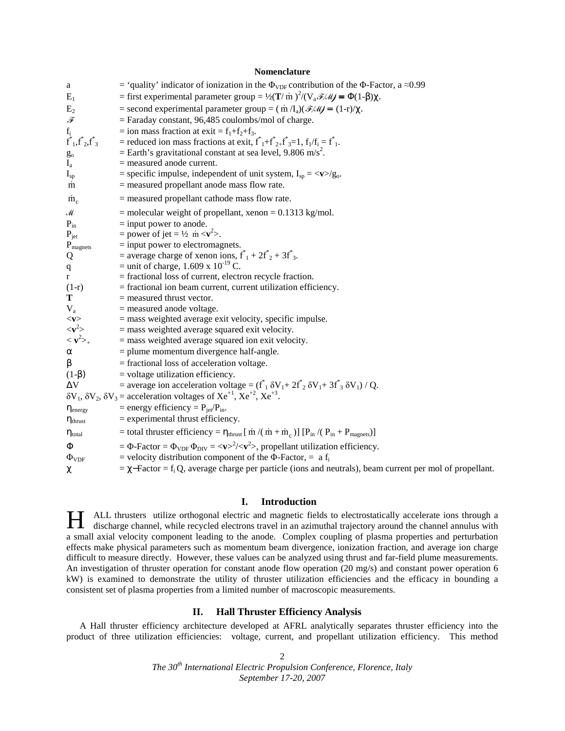## **Nomenclature**

| a                                                                                            | = 'quality' indicator of ionization in the $\Phi_{VDF}$ contribution of the $\Phi$ -Factor, a $\approx 0.99$                                    |
|----------------------------------------------------------------------------------------------|-------------------------------------------------------------------------------------------------------------------------------------------------|
| $E_1$                                                                                        | = first experimental parameter group = $\frac{1}{2}(\mathbf{T}/\dot{\mathbf{m}})^2/(V_a \mathcal{F}/M) = \Phi(1-\beta)\chi$ .                   |
| $E_2$                                                                                        | = second experimental parameter group = $(\dot{m} \Lambda_a)(\mathcal{F} \land \mathcal{W}) = (1-r)/\chi$ .                                     |
| F                                                                                            | $=$ Faraday constant, 96,485 coulombs/mol of charge.                                                                                            |
|                                                                                              | = ion mass fraction at exit = $f_1 + f_2 + f_3$ .                                                                                               |
| $f_i^*_{1,\stackrel{*}{\Gamma_2},\stackrel{*}{\Gamma_3}}$                                    | = reduced ion mass fractions at exit, $f^*_{1}+f^*_{2}+f^*_{3}=1$ , $f_1/f_i = f^*_{1}$ .                                                       |
| $g_{\rm o}$                                                                                  | = Earth's gravitational constant at sea level, 9.806 m/s <sup>2</sup> .                                                                         |
| $I_{a}$                                                                                      | $=$ measured anode current.                                                                                                                     |
| $I_{sp}$                                                                                     | = specific impulse, independent of unit system, $I_{sp} = \langle \mathbf{v} \rangle / g_o$ .                                                   |
| $\dot{m}$                                                                                    | $=$ measured propellant anode mass flow rate.                                                                                                   |
| $\dot{m}_c$                                                                                  | $=$ measured propellant cathode mass flow rate.                                                                                                 |
| $\mathcal M$                                                                                 | $=$ molecular weight of propellant, xenon $= 0.1313$ kg/mol.                                                                                    |
| $P_{in}$                                                                                     | $=$ input power to anode.                                                                                                                       |
| $P_{jet}$                                                                                    | = power of jet = $\frac{1}{2}$ m < $\mathbf{v}^2$ >.                                                                                            |
| $P_{\text{magnets}}$                                                                         | $=$ input power to electromagnets.                                                                                                              |
| Q                                                                                            | = average charge of xenon ions, $f^*$ <sub>1</sub> + $2f^*$ <sub>2</sub> + $3f^*$ <sub>3</sub> .                                                |
| q                                                                                            | = unit of charge, $1.609 \times 10^{-19}$ C.                                                                                                    |
| r                                                                                            | = fractional loss of current, electron recycle fraction.                                                                                        |
| $(1-r)$                                                                                      | $=$ fractional ion beam current, current utilization efficiency.                                                                                |
| т                                                                                            | $=$ measured thrust vector.                                                                                                                     |
| $V_a$                                                                                        | $=$ measured anode voltage.                                                                                                                     |
|                                                                                              | $=$ mass weighted average exit velocity, specific impulse.<br>$=$ mass weighted average squared exit velocity.                                  |
| $\n\langle \mathbf{v} \rangle\n\langle \mathbf{v}^2 \rangle\n\langle \mathbf{v}^2 \rangle_+$ | $=$ mass weighted average squared ion exit velocity.                                                                                            |
| $\alpha$                                                                                     | $=$ plume momentum divergence half-angle.                                                                                                       |
| β                                                                                            | $=$ fractional loss of acceleration voltage.                                                                                                    |
| $(1-\beta)$                                                                                  | $=$ voltage utilization efficiency.                                                                                                             |
| ΔV                                                                                           | = average ion acceleration voltage = $(f_{1}^{*} \delta V_{1} + 2f_{2}^{*} \delta V_{1} + 3f_{3}^{*} \delta V_{1})/Q$ .                         |
|                                                                                              | $\delta V_1$ , $\delta V_2$ , $\delta V_3$ = acceleration voltages of $Xe^{+1}$ , $Xe^{+2}$ , $Xe^{+3}$ .                                       |
| $\eta_{\text{energy}}$                                                                       | = energy efficiency = $P_{jet}/P_{in}$ .                                                                                                        |
| $\eta_{\text{thrust}}$                                                                       | $=$ experimental thrust efficiency.                                                                                                             |
| $\eta_{\text{total}}$                                                                        | = total thruster efficiency = $\eta_{\text{thrust}}$ [ m /( m + m <sub>c</sub> )] [P <sub>in</sub> /( P <sub>in</sub> + P <sub>magnets</sub> )] |
| Φ                                                                                            | = $\Phi$ -Factor = $\Phi_{VDF} \Phi_{DIV} = \langle v \rangle^2 / \langle v^2 \rangle$ , propellant utilization efficiency.                     |
| $\Phi_{VDF}$                                                                                 | = velocity distribution component of the $\Phi$ -Factor, = a f <sub>i</sub>                                                                     |
| χ                                                                                            | $=\chi$ -Factor = f <sub>i</sub> Q, average charge per particle (ions and neutrals), beam current per mol of propellant.                        |

## **I. Introduction**

ALL thrusters utilize orthogonal electric and magnetic fields to electrostatically accelerate ions through a H ALL thrusters utilize orthogonal electric and magnetic fields to electrostatically accelerate ions through a discharge channel, while recycled electrons travel in an azimuthal trajectory around the channel annulus with a small axial velocity component leading to the anode. Complex coupling of plasma properties and perturbation effects make physical parameters such as momentum beam divergence, ionization fraction, and average ion charge difficult to measure directly. However, these values can be analyzed using thrust and far-field plume measurements. An investigation of thruster operation for constant anode flow operation (20 mg/s) and constant power operation 6 kW) is examined to demonstrate the utility of thruster utilization efficiencies and the efficacy in bounding a consistent set of plasma properties from a limited number of macroscopic measurements.

## **II. Hall Thruster Efficiency Analysis**

A Hall thruster efficiency architecture developed at AFRL analytically separates thruster efficiency into the product of three utilization efficiencies: voltage, current, and propellant utilization efficiency. This method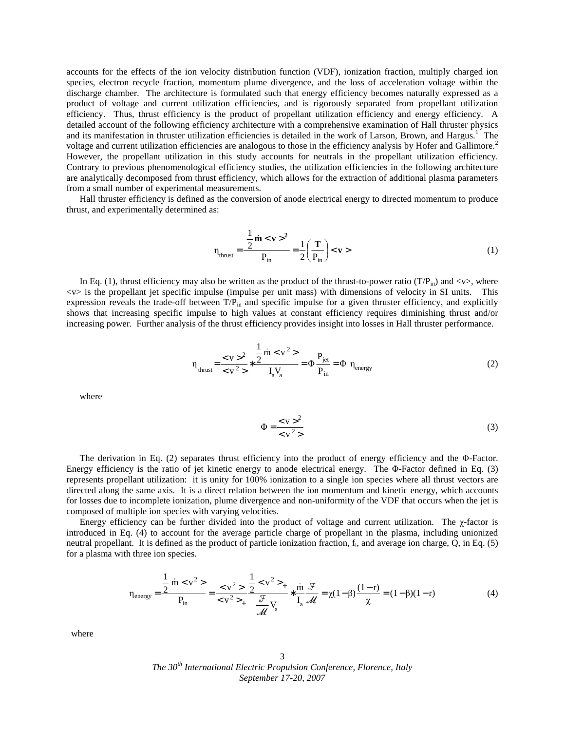accounts for the effects of the ion velocity distribution function (VDF), ionization fraction, multiply charged ion species, electron recycle fraction, momentum plume divergence, and the loss of acceleration voltage within the discharge chamber. The architecture is formulated such that energy efficiency becomes naturally expressed as a product of voltage and current utilization efficiencies, and is rigorously separated from propellant utilization efficiency. Thus, thrust efficiency is the product of propellant utilization efficiency and energy efficiency. A detailed account of the following efficiency architecture with a comprehensive examination of Hall thruster physics and its manifestation in thruster utilization efficiencies is detailed in the work of Larson, Brown, and Hargus.<sup>1</sup> The voltage and current utilization efficiencies are analogous to those in the efficiency analysis by Hofer and Gallimore.<sup>2</sup> However, the propellant utilization in this study accounts for neutrals in the propellant utilization efficiency. Contrary to previous phenomenological efficiency studies, the utilization efficiencies in the following architecture are analytically decomposed from thrust efficiency, which allows for the extraction of additional plasma parameters from a small number of experimental measurements.

Hall thruster efficiency is defined as the conversion of anode electrical energy to directed momentum to produce thrust, and experimentally determined as:

$$
\eta_{\text{thrust}} = \frac{\frac{1}{2} \dot{\mathbf{m}} < \mathbf{v} >^2}{P_{\text{in}}} = \frac{1}{2} \left( \frac{\mathbf{T}}{P_{\text{in}}} \right) < \mathbf{v} > \tag{1}
$$

In Eq. (1), thrust efficiency may also be written as the product of the thrust-to-power ratio (T/P<sub>in</sub>) and <v>, where <v> is the propellant jet specific impulse (impulse per unit mass) with dimensions of velocity in SI units. This expression reveals the trade-off between  $T/P_{in}$  and specific impulse for a given thruster efficiency, and explicitly shows that increasing specific impulse to high values at constant efficiency requires diminishing thrust and/or increasing power. Further analysis of the thrust efficiency provides insight into losses in Hall thruster performance.

$$
\eta_{\text{thrust}} = \frac{^2}{} * \frac{\frac{1}{2} \text{ in} }{I_a V_a} = \Phi \frac{P_{\text{jet}}}{P_{\text{in}}} = \Phi \eta_{\text{energy}}
$$
(2)

where

$$
\Phi = \frac{<\mathbf{v}>^2}{<\mathbf{v}^2>} \tag{3}
$$

The derivation in Eq. (2) separates thrust efficiency into the product of energy efficiency and the Φ-Factor. Energy efficiency is the ratio of jet kinetic energy to anode electrical energy. The Φ-Factor defined in Eq. (3) represents propellant utilization: it is unity for 100% ionization to a single ion species where all thrust vectors are directed along the same axis. It is a direct relation between the ion momentum and kinetic energy, which accounts for losses due to incomplete ionization, plume divergence and non-uniformity of the VDF that occurs when the jet is composed of multiple ion species with varying velocities.

 Energy efficiency can be further divided into the product of voltage and current utilization. The χ-factor is introduced in Eq. (4) to account for the average particle charge of propellant in the plasma, including unionized neutral propellant. It is defined as the product of particle ionization fraction, f<sup>i</sup> , and average ion charge, Q, in Eq. (5) for a plasma with three ion species.

$$
\eta_{\text{energy}} = \frac{\frac{1}{2} \text{ in} < v^2>}{P_{\text{in}}} = \frac{2}{v^2 + \frac{1}{2} < v^2 + \frac{1}{2} \text{ in } \mathcal{F}} = \frac{2}{\sqrt{4}} \frac{1}{\sqrt{4}} \times \frac{1}{\sqrt{4}} = \frac{2}{\sqrt{4}} \times \frac{1}{\sqrt{4}} = \frac{2}{\sqrt{4}} \times \frac{1}{\sqrt{4}} = (1 - \beta)(1 - r) \tag{4}
$$

where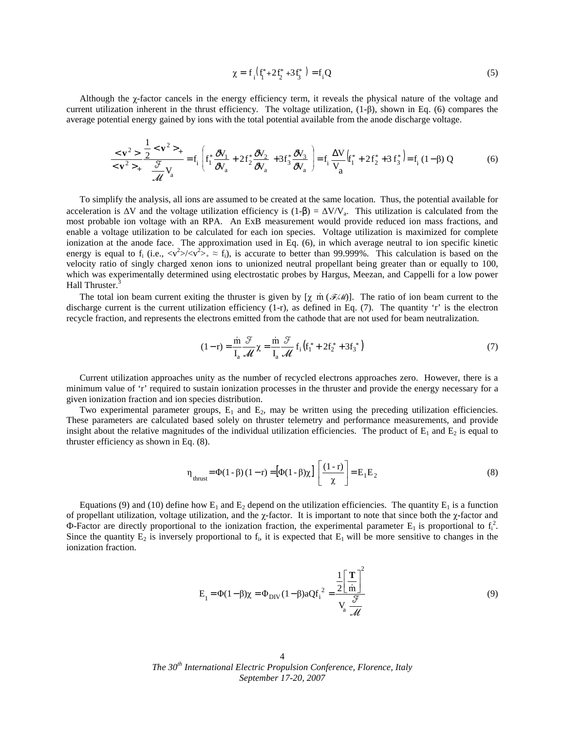$$
\chi = f_i \left( f_i^* + 2f_2^* + 3f_3^* \right) = f_i Q \tag{5}
$$

 Although the χ-factor cancels in the energy efficiency term, it reveals the physical nature of the voltage and current utilization inherent in the thrust efficiency. The voltage utilization, (1-β), shown in Eq. (6) compares the average potential energy gained by ions with the total potential available from the anode discharge voltage.

$$
\frac{<\mathbf{v}^{2}>}{<\mathbf{v}^{2}>_{+}}\frac{\frac{1}{2}<\mathbf{v}^{2}>_{+}}{\frac{\mathcal{F}}{\mathcal{M}}V_{a}}=f_{i}\left(f_{1}^{*}\frac{\partial V_{1}}{\partial V_{a}}+2f_{2}^{*}\frac{\partial V_{2}}{\partial V_{a}}+3f_{3}^{*}\frac{\partial V_{3}}{\partial V_{a}}\right)=f_{i}\frac{\Delta V}{V_{a}}(f_{1}^{*}+2f_{2}^{*}+3f_{3}^{*})=f_{i}(1-\beta)Q
$$
(6)

 To simplify the analysis, all ions are assumed to be created at the same location. Thus, the potential available for acceleration is  $\Delta V$  and the voltage utilization efficiency is (1-β) =  $\Delta V/V_a$ . This utilization is calculated from the most probable ion voltage with an RPA. An ExB measurement would provide reduced ion mass fractions, and enable a voltage utilization to be calculated for each ion species. Voltage utilization is maximized for complete ionization at the anode face. The approximation used in Eq. (6), in which average neutral to ion specific kinetic energy is equal to  $f_i$  (i.e.,  $\langle v^2 \rangle / \langle v^2 \rangle_+ \approx f_i$ ), is accurate to better than 99.999%. This calculation is based on the velocity ratio of singly charged xenon ions to unionized neutral propellant being greater than or equally to 100, which was experimentally determined using electrostatic probes by Hargus, Meezan, and Cappelli for a low power Hall Thruster.<sup>3</sup>

The total ion beam current exiting the thruster is given by  $[\chi \text{ m} (\mathcal{F}/M)]$ . The ratio of ion beam current to the discharge current is the current utilization efficiency (1-r), as defined in Eq. (7). The quantity 'r' is the electron recycle fraction, and represents the electrons emitted from the cathode that are not used for beam neutralization.

$$
(1-r) = \frac{\dot{m}}{I_a} \frac{\mathcal{F}}{\mathcal{M}} \chi = \frac{\dot{m}}{I_a} \frac{\mathcal{F}}{\mathcal{M}} f_i \left( f_1^* + 2f_2^* + 3f_3^* \right) \tag{7}
$$

 Current utilization approaches unity as the number of recycled electrons approaches zero. However, there is a minimum value of 'r' required to sustain ionization processes in the thruster and provide the energy necessary for a given ionization fraction and ion species distribution.

Two experimental parameter groups,  $E_1$  and  $E_2$ , may be written using the preceding utilization efficiencies. These parameters are calculated based solely on thruster telemetry and performance measurements, and provide insight about the relative magnitudes of the individual utilization efficiencies. The product of  $E_1$  and  $E_2$  is equal to thruster efficiency as shown in Eq. (8).

$$
\eta_{thrust} = \Phi(1 - \beta)(1 - r) = [\Phi(1 - \beta)\chi] \left[\frac{(1 - r)}{\chi}\right] = E_1 E_2
$$
\n(8)

Equations (9) and (10) define how  $E_1$  and  $E_2$  depend on the utilization efficiencies. The quantity  $E_1$  is a function of propellant utilization, voltage utilization, and the χ-factor. It is important to note that since both the χ-factor and  $\Phi$ -Factor are directly proportional to the ionization fraction, the experimental parameter E<sub>1</sub> is proportional to  $f_i^2$ . Since the quantity  $E_2$  is inversely proportional to  $f_i$ , it is expected that  $E_1$  will be more sensitive to changes in the ionization fraction.

$$
E_1 = \Phi(1 - \beta)\chi = \Phi_{DIV}(1 - \beta)aQf_i^2 = \frac{\frac{1}{2}\left[\frac{T}{m}\right]^2}{V_a \frac{\mathcal{F}}{\mathcal{M}}}
$$
(9)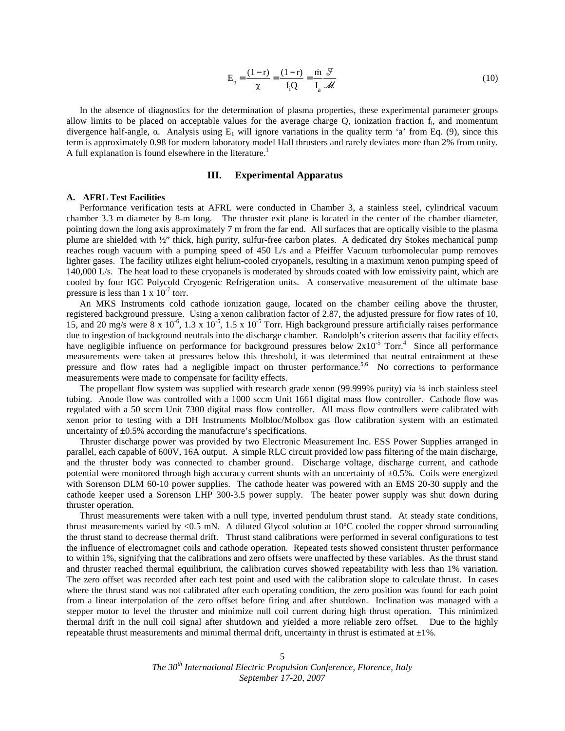$$
E_2 = \frac{(1-r)}{\chi} = \frac{(1-r)}{f_i Q} = \frac{\dot{m}}{I_a} \frac{\mathcal{F}}{\mathcal{M}}
$$
(10)

 In the absence of diagnostics for the determination of plasma properties, these experimental parameter groups allow limits to be placed on acceptable values for the average charge  $Q$ , ionization fraction  $f_i$ , and momentum divergence half-angle,  $\alpha$ . Analysis using  $E_1$  will ignore variations in the quality term 'a' from Eq. (9), since this term is approximately 0.98 for modern laboratory model Hall thrusters and rarely deviates more than 2% from unity. A full explanation is found elsewhere in the literature.<sup>1</sup>

### **III. Experimental Apparatus**

#### **A. AFRL Test Facilities**

 Performance verification tests at AFRL were conducted in Chamber 3, a stainless steel, cylindrical vacuum chamber 3.3 m diameter by 8-m long. The thruster exit plane is located in the center of the chamber diameter, pointing down the long axis approximately 7 m from the far end. All surfaces that are optically visible to the plasma plume are shielded with ½" thick, high purity, sulfur-free carbon plates. A dedicated dry Stokes mechanical pump reaches rough vacuum with a pumping speed of 450 L/s and a Pfeiffer Vacuum turbomolecular pump removes lighter gases. The facility utilizes eight helium-cooled cryopanels, resulting in a maximum xenon pumping speed of 140,000 L/s. The heat load to these cryopanels is moderated by shrouds coated with low emissivity paint, which are cooled by four IGC Polycold Cryogenic Refrigeration units. A conservative measurement of the ultimate base pressure is less than  $1 \times 10^{-7}$  torr.

 An MKS Instruments cold cathode ionization gauge, located on the chamber ceiling above the thruster, registered background pressure. Using a xenon calibration factor of 2.87, the adjusted pressure for flow rates of 10, 15, and 20 mg/s were 8 x  $10^{-6}$ , 1.3 x  $10^{-5}$ , 1.5 x  $10^{-5}$  Torr. High background pressure artificially raises performance due to ingestion of background neutrals into the discharge chamber. Randolph's criterion asserts that facility effects have negligible influence on performance for background pressures below  $2x10^{-5}$  Torr.<sup>4</sup> Since all performance measurements were taken at pressures below this threshold, it was determined that neutral entrainment at these pressure and flow rates had a negligible impact on thruster performance.<sup>5,6</sup> No corrections to performance measurements were made to compensate for facility effects.

 The propellant flow system was supplied with research grade xenon (99.999% purity) via ¼ inch stainless steel tubing. Anode flow was controlled with a 1000 sccm Unit 1661 digital mass flow controller. Cathode flow was regulated with a 50 sccm Unit 7300 digital mass flow controller. All mass flow controllers were calibrated with xenon prior to testing with a DH Instruments Molbloc/Molbox gas flow calibration system with an estimated uncertainty of  $\pm 0.5\%$  according the manufacture's specifications.

 Thruster discharge power was provided by two Electronic Measurement Inc. ESS Power Supplies arranged in parallel, each capable of 600V, 16A output. A simple RLC circuit provided low pass filtering of the main discharge, and the thruster body was connected to chamber ground. Discharge voltage, discharge current, and cathode potential were monitored through high accuracy current shunts with an uncertainty of  $\pm 0.5$ %. Coils were energized with Sorenson DLM 60-10 power supplies. The cathode heater was powered with an EMS 20-30 supply and the cathode keeper used a Sorenson LHP 300-3.5 power supply. The heater power supply was shut down during thruster operation.

 Thrust measurements were taken with a null type, inverted pendulum thrust stand. At steady state conditions, thrust measurements varied by <0.5 mN. A diluted Glycol solution at 10ºC cooled the copper shroud surrounding the thrust stand to decrease thermal drift. Thrust stand calibrations were performed in several configurations to test the influence of electromagnet coils and cathode operation. Repeated tests showed consistent thruster performance to within 1%, signifying that the calibrations and zero offsets were unaffected by these variables. As the thrust stand and thruster reached thermal equilibrium, the calibration curves showed repeatability with less than 1% variation. The zero offset was recorded after each test point and used with the calibration slope to calculate thrust. In cases where the thrust stand was not calibrated after each operating condition, the zero position was found for each point from a linear interpolation of the zero offset before firing and after shutdown. Inclination was managed with a stepper motor to level the thruster and minimize null coil current during high thrust operation. This minimized thermal drift in the null coil signal after shutdown and yielded a more reliable zero offset. Due to the highly repeatable thrust measurements and minimal thermal drift, uncertainty in thrust is estimated at  $\pm 1$ %.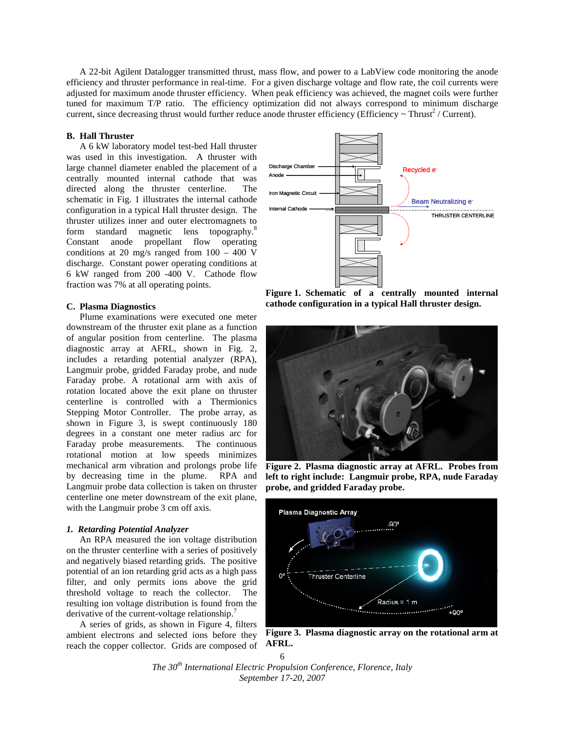A 22-bit Agilent Datalogger transmitted thrust, mass flow, and power to a LabView code monitoring the anode efficiency and thruster performance in real-time. For a given discharge voltage and flow rate, the coil currents were adjusted for maximum anode thruster efficiency. When peak efficiency was achieved, the magnet coils were further tuned for maximum T/P ratio. The efficiency optimization did not always correspond to minimum discharge current, since decreasing thrust would further reduce anode thruster efficiency (Efficiency  $\sim$  Thrust<sup>2</sup> / Current).

## **B. Hall Thruster**

 A 6 kW laboratory model test-bed Hall thruster was used in this investigation. A thruster with large channel diameter enabled the placement of a centrally mounted internal cathode that was directed along the thruster centerline. The schematic in Fig. 1 illustrates the internal cathode configuration in a typical Hall thruster design. The thruster utilizes inner and outer electromagnets to form standard magnetic lens topography.<sup>8</sup> Constant anode propellant flow operating conditions at 20 mg/s ranged from 100 – 400 V discharge. Constant power operating conditions at 6 kW ranged from 200 -400 V. Cathode flow fraction was 7% at all operating points.

#### **C. Plasma Diagnostics**

Plume examinations were executed one meter downstream of the thruster exit plane as a function of angular position from centerline. The plasma diagnostic array at AFRL, shown in Fig. 2, includes a retarding potential analyzer (RPA), Langmuir probe, gridded Faraday probe, and nude Faraday probe. A rotational arm with axis of rotation located above the exit plane on thruster centerline is controlled with a Thermionics Stepping Motor Controller. The probe array, as shown in Figure 3, is swept continuously 180 degrees in a constant one meter radius arc for Faraday probe measurements. The continuous rotational motion at low speeds minimizes mechanical arm vibration and prolongs probe life by decreasing time in the plume. RPA and Langmuir probe data collection is taken on thruster centerline one meter downstream of the exit plane, with the Langmuir probe 3 cm off axis.

## *1. Retarding Potential Analyzer*

An RPA measured the ion voltage distribution on the thruster centerline with a series of positively and negatively biased retarding grids. The positive potential of an ion retarding grid acts as a high pass filter, and only permits ions above the grid threshold voltage to reach the collector. The resulting ion voltage distribution is found from the derivative of the current-voltage relationship.<sup>7</sup>

 A series of grids, as shown in Figure 4, filters ambient electrons and selected ions before they reach the copper collector. Grids are composed of



**Figure 1. Schematic of a centrally mounted internal cathode configuration in a typical Hall thruster design.** 



**Figure 2. Plasma diagnostic array at AFRL. Probes from left to right include: Langmuir probe, RPA, nude Faraday probe, and gridded Faraday probe.** 



**Figure 3. Plasma diagnostic array on the rotational arm at AFRL.**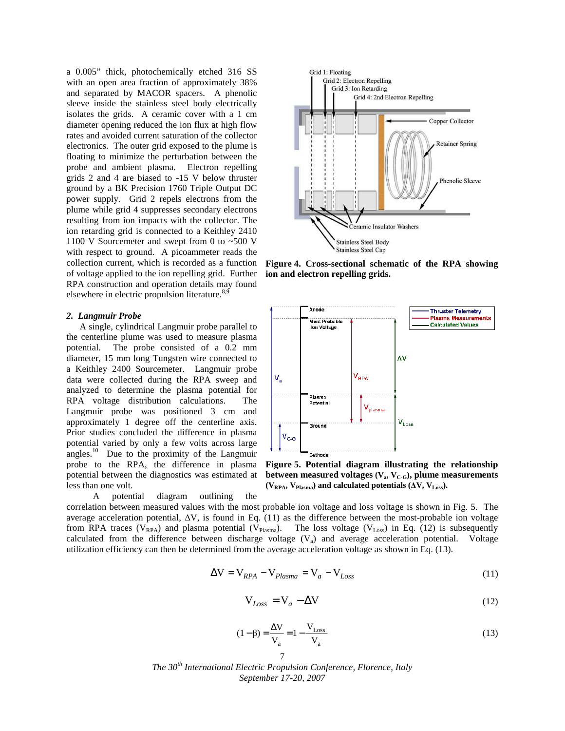a 0.005" thick, photochemically etched 316 SS with an open area fraction of approximately 38% and separated by MACOR spacers. A phenolic sleeve inside the stainless steel body electrically isolates the grids. A ceramic cover with a 1 cm diameter opening reduced the ion flux at high flow rates and avoided current saturation of the collector electronics. The outer grid exposed to the plume is floating to minimize the perturbation between the probe and ambient plasma. Electron repelling grids 2 and 4 are biased to -15 V below thruster ground by a BK Precision 1760 Triple Output DC power supply. Grid 2 repels electrons from the plume while grid 4 suppresses secondary electrons resulting from ion impacts with the collector. The ion retarding grid is connected to a Keithley 2410 1100 V Sourcemeter and swept from 0 to  $\sim$  500 V with respect to ground. A picoammeter reads the collection current, which is recorded as a function of voltage applied to the ion repelling grid. Further RPA construction and operation details may found elsewhere in electric propulsion literature. $8,9$ 

#### *2. Langmuir Probe*

 A single, cylindrical Langmuir probe parallel to the centerline plume was used to measure plasma potential. The probe consisted of a 0.2 mm diameter, 15 mm long Tungsten wire connected to a Keithley 2400 Sourcemeter. Langmuir probe data were collected during the RPA sweep and analyzed to determine the plasma potential for RPA voltage distribution calculations. The Langmuir probe was positioned 3 cm and approximately 1 degree off the centerline axis. Prior studies concluded the difference in plasma potential varied by only a few volts across large angles.<sup>10</sup> Due to the proximity of the Langmuir probe to the RPA, the difference in plasma potential between the diagnostics was estimated at less than one volt.

A potential diagram outlining the



**Figure 4. Cross-sectional schematic of the RPA showing ion and electron repelling grids.** 



**Figure 5. Potential diagram illustrating the relationship between measured voltages (V<sup>a</sup> , VC-G), plume measurements**   $(V_{RPA}, V_{Plasma})$  and calculated potentials  $(\Delta V, V_{Loss})$ .

correlation between measured values with the most probable ion voltage and loss voltage is shown in Fig. 5. The average acceleration potential, ∆V, is found in Eq. (11) as the difference between the most-probable ion voltage from RPA traces ( $V_{RPA}$ ) and plasma potential ( $V_{Plasma}$ ). The loss voltage ( $V_{Loss}$ ) in Eq. (12) is subsequently calculated from the difference between discharge voltage  $(V_a)$  and average acceleration potential. Voltage utilization efficiency can then be determined from the average acceleration voltage as shown in Eq. (13).

$$
\Delta V = V_{RPA} - V_{Plasma} = V_a - V_{Loss}
$$
\n(11)

$$
V_{Loss} = V_a - \Delta V \tag{12}
$$

$$
(1 - \beta) = \frac{\Delta V}{V_a} = 1 - \frac{V_{Loss}}{V_a}
$$
\n(13)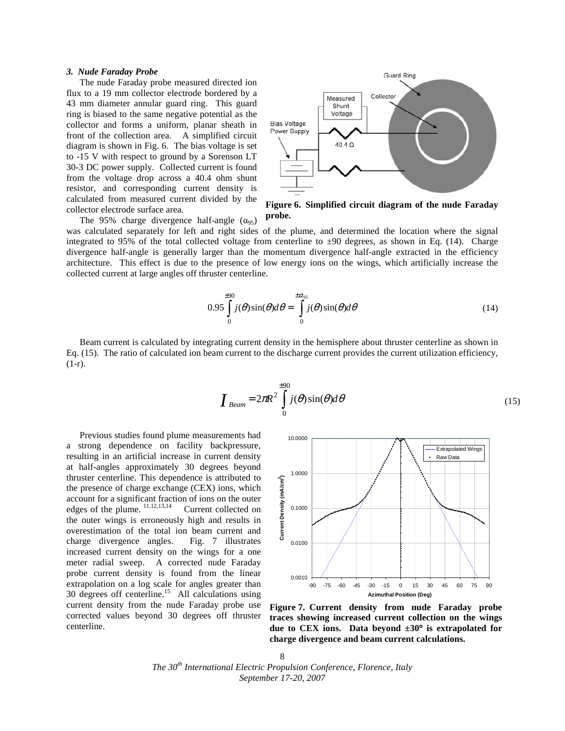#### *3. Nude Faraday Probe*

The nude Faraday probe measured directed ion flux to a 19 mm collector electrode bordered by a 43 mm diameter annular guard ring. This guard ring is biased to the same negative potential as the collector and forms a uniform, planar sheath in front of the collection area. A simplified circuit diagram is shown in Fig. 6. The bias voltage is set to -15 V with respect to ground by a Sorenson LT 30-3 DC power supply. Collected current is found from the voltage drop across a 40.4 ohm shunt resistor, and corresponding current density is calculated from measured current divided by the collector electrode surface area.

The 95% charge divergence half-angle  $(\alpha_{95})$ 



**Figure 6. Simplified circuit diagram of the nude Faraday probe.** 

was calculated separately for left and right sides of the plume, and determined the location where the signal integrated to 95% of the total collected voltage from centerline to  $\pm 90$  degrees, as shown in Eq. (14). Charge divergence half-angle is generally larger than the momentum divergence half-angle extracted in the efficiency architecture. This effect is due to the presence of low energy ions on the wings, which artificially increase the collected current at large angles off thruster centerline.

$$
0.95 \int_{0}^{\pm 90} j(\theta) \sin(\theta) d\theta = \int_{0}^{\pm \alpha_{95}} j(\theta) \sin(\theta) d\theta
$$
 (14)

Beam current is calculated by integrating current density in the hemisphere about thruster centerline as shown in Eq. (15). The ratio of calculated ion beam current to the discharge current provides the current utilization efficiency, (1-r).

$$
\boldsymbol{I}_{\text{Beam}} = 2\pi R^2 \int_{0}^{+90} j(\theta) \sin(\theta) d\theta \tag{15}
$$

Previous studies found plume measurements had a strong dependence on facility backpressure, resulting in an artificial increase in current density at half-angles approximately 30 degrees beyond thruster centerline. This dependence is attributed to the presence of charge exchange (CEX) ions, which account for a significant fraction of ions on the outer edges of the plume.  $\frac{11,12,13,14}{11,12,13,14}$  Current collected on the outer wings is erroneously high and results in overestimation of the total ion beam current and charge divergence angles. Fig. 7 illustrates increased current density on the wings for a one meter radial sweep. A corrected nude Faraday probe current density is found from the linear extrapolation on a log scale for angles greater than 30 degrees off centerline.<sup>15</sup> All calculations using current density from the nude Faraday probe use corrected values beyond 30 degrees off thruster centerline.



**Figure 7. Current density from nude Faraday probe traces showing increased current collection on the wings due to CEX ions. Data beyond ±30º is extrapolated for charge divergence and beam current calculations.** 

8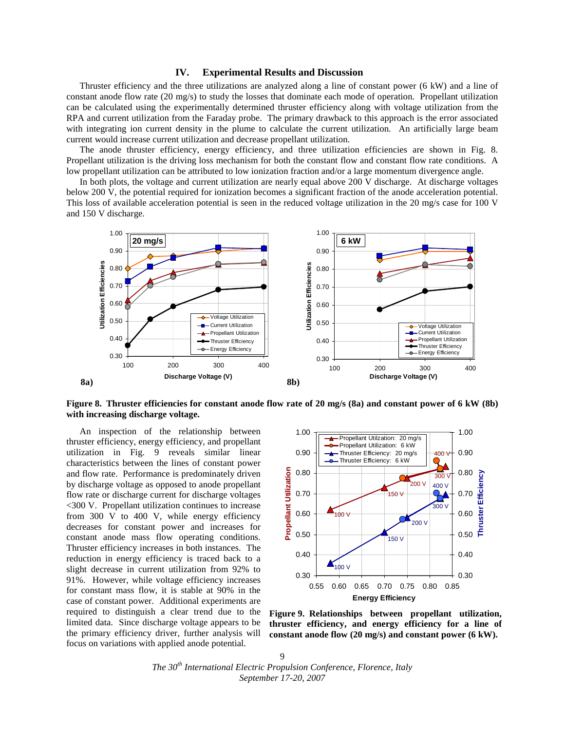## **IV. Experimental Results and Discussion**

 Thruster efficiency and the three utilizations are analyzed along a line of constant power (6 kW) and a line of constant anode flow rate (20 mg/s) to study the losses that dominate each mode of operation. Propellant utilization can be calculated using the experimentally determined thruster efficiency along with voltage utilization from the RPA and current utilization from the Faraday probe. The primary drawback to this approach is the error associated with integrating ion current density in the plume to calculate the current utilization. An artificially large beam current would increase current utilization and decrease propellant utilization.

 The anode thruster efficiency, energy efficiency, and three utilization efficiencies are shown in Fig. 8. Propellant utilization is the driving loss mechanism for both the constant flow and constant flow rate conditions. A low propellant utilization can be attributed to low ionization fraction and/or a large momentum divergence angle.

 In both plots, the voltage and current utilization are nearly equal above 200 V discharge. At discharge voltages below 200 V, the potential required for ionization becomes a significant fraction of the anode acceleration potential. This loss of available acceleration potential is seen in the reduced voltage utilization in the 20 mg/s case for 100 V and 150 V discharge.



**Figure 8. Thruster efficiencies for constant anode flow rate of 20 mg/s (8a) and constant power of 6 kW (8b) with increasing discharge voltage.** 

 An inspection of the relationship between thruster efficiency, energy efficiency, and propellant utilization in Fig. 9 reveals similar linear characteristics between the lines of constant power and flow rate. Performance is predominately driven by discharge voltage as opposed to anode propellant flow rate or discharge current for discharge voltages <300 V. Propellant utilization continues to increase from 300 V to 400 V, while energy efficiency decreases for constant power and increases for constant anode mass flow operating conditions. Thruster efficiency increases in both instances. The reduction in energy efficiency is traced back to a slight decrease in current utilization from 92% to 91%. However, while voltage efficiency increases for constant mass flow, it is stable at 90% in the case of constant power. Additional experiments are required to distinguish a clear trend due to the limited data. Since discharge voltage appears to be the primary efficiency driver, further analysis will focus on variations with applied anode potential.



**Figure 9. Relationships between propellant utilization, thruster efficiency, and energy efficiency for a line of constant anode flow (20 mg/s) and constant power (6 kW).**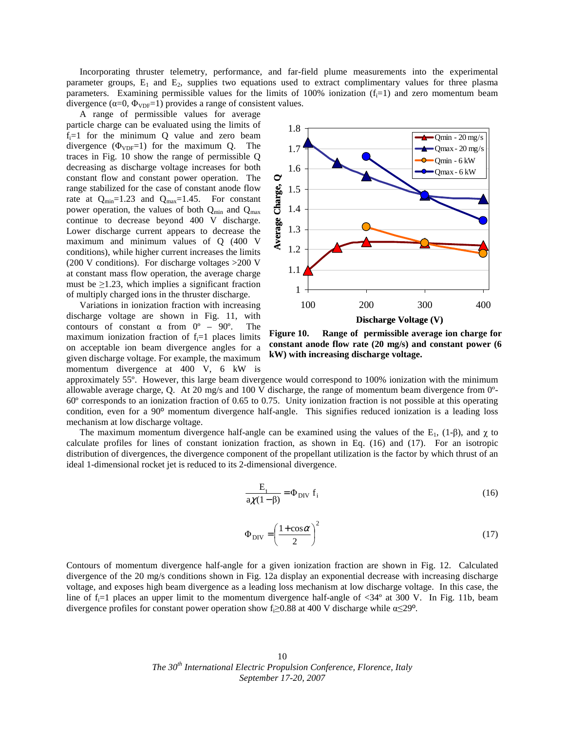Incorporating thruster telemetry, performance, and far-field plume measurements into the experimental parameter groups,  $E_1$  and  $E_2$ , supplies two equations used to extract complimentary values for three plasma parameters. Examining permissible values for the limits of 100% ionization  $(f_i=1)$  and zero momentum beam divergence ( $\alpha=0$ ,  $\Phi_{VDF}=1$ ) provides a range of consistent values.

 A range of permissible values for average particle charge can be evaluated using the limits of  $f_i=1$  for the minimum Q value and zero beam divergence  $(\Phi_{VDF}=1)$  for the maximum Q. The traces in Fig. 10 show the range of permissible Q decreasing as discharge voltage increases for both constant flow and constant power operation. The range stabilized for the case of constant anode flow rate at  $Q_{min}=1.23$  and  $Q_{max}=1.45$ . For constant power operation, the values of both  $Q_{min}$  and  $Q_{max}$ continue to decrease beyond 400 V discharge. Lower discharge current appears to decrease the maximum and minimum values of Q (400 V conditions), while higher current increases the limits (200 V conditions). For discharge voltages >200 V at constant mass flow operation, the average charge must be  $\geq$ 1.23, which implies a significant fraction of multiply charged ions in the thruster discharge.

 Variations in ionization fraction with increasing discharge voltage are shown in Fig. 11, with contours of constant  $\alpha$  from  $0^{\circ}$  – 90°. The maximum ionization fraction of  $f_i=1$  places limits on acceptable ion beam divergence angles for a given discharge voltage. For example, the maximum momentum divergence at 400 V, 6 kW is



**Figure 10. Range of permissible average ion charge for constant anode flow rate (20 mg/s) and constant power (6 kW) with increasing discharge voltage.** 

approximately 55º. However, this large beam divergence would correspond to 100% ionization with the minimum allowable average charge, Q. At 20 mg/s and 100 V discharge, the range of momentum beam divergence from 0º-60º corresponds to an ionization fraction of 0.65 to 0.75. Unity ionization fraction is not possible at this operating condition, even for a 90º momentum divergence half-angle. This signifies reduced ionization is a leading loss mechanism at low discharge voltage.

The maximum momentum divergence half-angle can be examined using the values of the  $E_1$ , (1-β), and  $\gamma$  to calculate profiles for lines of constant ionization fraction, as shown in Eq. (16) and (17). For an isotropic distribution of divergences, the divergence component of the propellant utilization is the factor by which thrust of an ideal 1-dimensional rocket jet is reduced to its 2-dimensional divergence.

$$
\frac{E_{\perp}}{a\chi(1-\beta)} = \Phi_{\text{DIV}} f_i \tag{16}
$$

$$
\Phi_{\rm DIV} = \left(\frac{1 + \cos \alpha}{2}\right)^2 \tag{17}
$$

Contours of momentum divergence half-angle for a given ionization fraction are shown in Fig. 12. Calculated divergence of the 20 mg/s conditions shown in Fig. 12a display an exponential decrease with increasing discharge voltage, and exposes high beam divergence as a leading loss mechanism at low discharge voltage. In this case, the line of  $f_i=1$  places an upper limit to the momentum divergence half-angle of  $\langle 34^\circ \rangle$  at 300 V. In Fig. 11b, beam divergence profiles for constant power operation show  $f_i \ge 0.88$  at 400 V discharge while  $\alpha \le 29^\circ$ .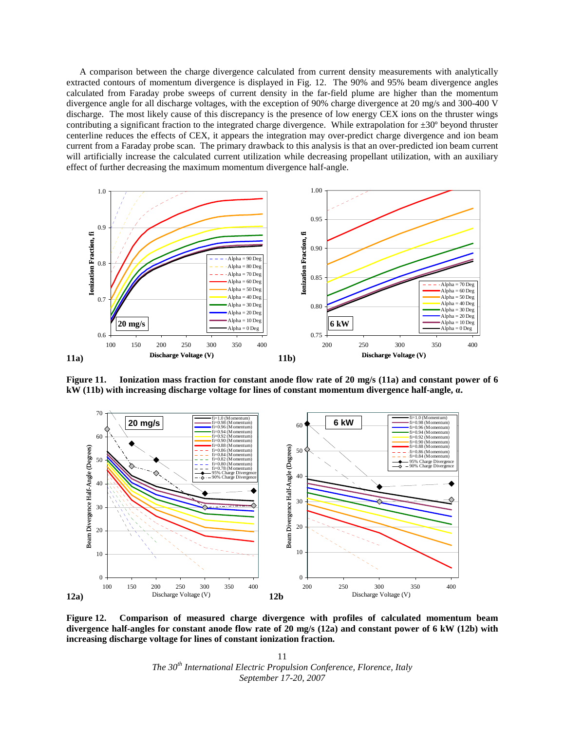A comparison between the charge divergence calculated from current density measurements with analytically extracted contours of momentum divergence is displayed in Fig. 12. The 90% and 95% beam divergence angles calculated from Faraday probe sweeps of current density in the far-field plume are higher than the momentum divergence angle for all discharge voltages, with the exception of 90% charge divergence at 20 mg/s and 300-400 V discharge. The most likely cause of this discrepancy is the presence of low energy CEX ions on the thruster wings contributing a significant fraction to the integrated charge divergence. While extrapolation for ±30º beyond thruster centerline reduces the effects of CEX, it appears the integration may over-predict charge divergence and ion beam current from a Faraday probe scan. The primary drawback to this analysis is that an over-predicted ion beam current will artificially increase the calculated current utilization while decreasing propellant utilization, with an auxiliary effect of further decreasing the maximum momentum divergence half-angle.



**Figure 11. Ionization mass fraction for constant anode flow rate of 20 mg/s (11a) and constant power of 6 kW (11b) with increasing discharge voltage for lines of constant momentum divergence half-angle,** α**.** 



**Figure 12. Comparison of measured charge divergence with profiles of calculated momentum beam divergence half-angles for constant anode flow rate of 20 mg/s (12a) and constant power of 6 kW (12b) with increasing discharge voltage for lines of constant ionization fraction.**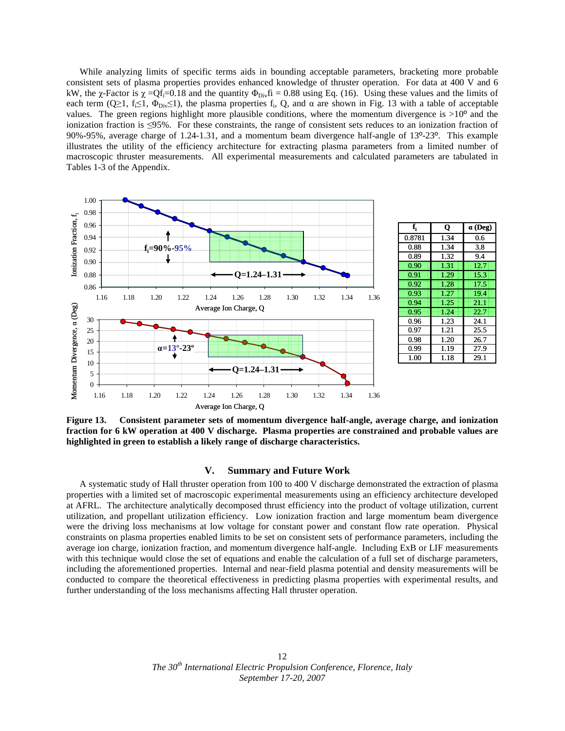While analyzing limits of specific terms aids in bounding acceptable parameters, bracketing more probable consistent sets of plasma properties provides enhanced knowledge of thruster operation. For data at 400 V and 6 kW, the χ-Factor is  $\chi = Qf_i = 0.18$  and the quantity  $\Phi_{\text{Div}} f_i = 0.88$  using Eq. (16). Using these values and the limits of each term (Q≥1, f<sub>i</sub>≤1,  $\Phi_{\text{Div}}(1)$ ), the plasma properties f<sub>i</sub>, Q, and  $\alpha$  are shown in Fig. 13 with a table of acceptable values. The green regions highlight more plausible conditions, where the momentum divergence is  $>10^{\circ}$  and the ionization fraction is ≤95%. For these constraints, the range of consistent sets reduces to an ionization fraction of 90%-95%, average charge of 1.24-1.31, and a momentum beam divergence half-angle of 13º-23º. This example illustrates the utility of the efficiency architecture for extracting plasma parameters from a limited number of macroscopic thruster measurements. All experimental measurements and calculated parameters are tabulated in Tables 1-3 of the Appendix.





**Figure 13. Consistent parameter sets of momentum divergence half-angle, average charge, and ionization fraction for 6 kW operation at 400 V discharge. Plasma properties are constrained and probable values are highlighted in green to establish a likely range of discharge characteristics.** 

#### **V. Summary and Future Work**

 A systematic study of Hall thruster operation from 100 to 400 V discharge demonstrated the extraction of plasma properties with a limited set of macroscopic experimental measurements using an efficiency architecture developed at AFRL. The architecture analytically decomposed thrust efficiency into the product of voltage utilization, current utilization, and propellant utilization efficiency. Low ionization fraction and large momentum beam divergence were the driving loss mechanisms at low voltage for constant power and constant flow rate operation. Physical constraints on plasma properties enabled limits to be set on consistent sets of performance parameters, including the average ion charge, ionization fraction, and momentum divergence half-angle. Including ExB or LIF measurements with this technique would close the set of equations and enable the calculation of a full set of discharge parameters, including the aforementioned properties. Internal and near-field plasma potential and density measurements will be conducted to compare the theoretical effectiveness in predicting plasma properties with experimental results, and further understanding of the loss mechanisms affecting Hall thruster operation.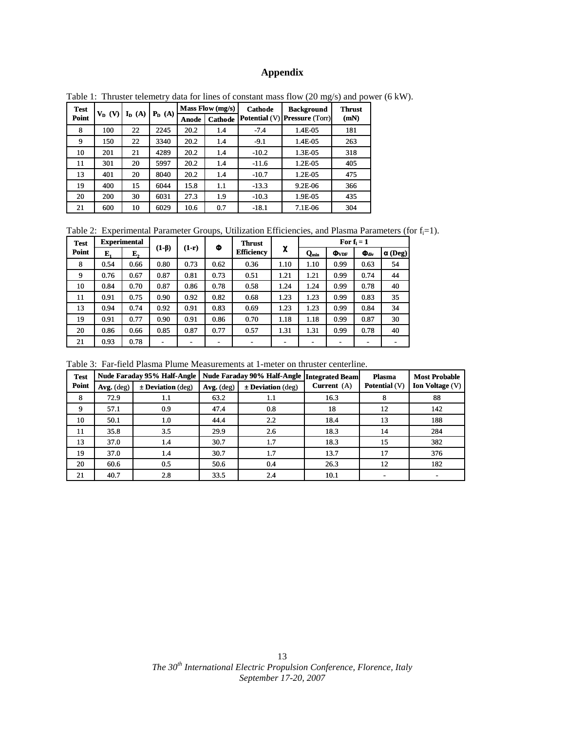## **Appendix**

| <b>Test</b> | $V_D$ (V) | (A)<br>$I_{D}$ | $P_D(A)$ | Mass Flow (mg/s) |                | <b>Cathode</b> | <b>Background</b>                    | <b>Thrust</b> |  |
|-------------|-----------|----------------|----------|------------------|----------------|----------------|--------------------------------------|---------------|--|
| Point       |           |                |          | Anode            | <b>Cathode</b> |                | <b>Potential (V) Pressure (Torr)</b> | (mN)          |  |
| 8           | 100       | 22             | 2245     | 20.2             | 1.4            | $-7.4$         | 1.4E-05                              | 181           |  |
| 9           | 150       | 22             | 3340     | 20.2             | 1.4            | $-9.1$         | 1.4E-05                              | 263           |  |
| 10          | 201       | 21             | 4289     | 20.2             | 1.4            | $-10.2$        | 1.3E-05                              | 318           |  |
| 11          | 301       | 20             | 5997     | 20.2             | 1.4            | $-11.6$        | 1.2E-05                              | 405           |  |
| 13          | 401       | 20             | 8040     | 20.2             | 1.4            | $-10.7$        | 1.2E-05                              | 475           |  |
| 19          | 400       | 15             | 6044     | 15.8             | 1.1            | $-13.3$        | 9.2E-06                              | 366           |  |
| 20          | 200       | 30             | 6031     | 27.3             | 1.9            | $-10.3$        | 1.9E-05                              | 435           |  |
| 21          | 600       | 10             | 6029     | 10.6             | 0.7            | $-18.1$        | 7.1E-06                              | 304           |  |

Table 1: Thruster telemetry data for lines of constant mass flow (20 mg/s) and power (6 kW).

Table 2: Experimental Parameter Groups, Utilization Efficiencies, and Plasma Parameters (for f<sub>i</sub>=1).

| <b>Test</b> | <b>Experimental</b> |      |             |         |      | <b>Thrust</b>     |      | For $f_i = 1$ |                       |                              |                 |
|-------------|---------------------|------|-------------|---------|------|-------------------|------|---------------|-----------------------|------------------------------|-----------------|
| Point       | E,                  | E,   | $(1-\beta)$ | $(1-r)$ | Φ    | <b>Efficiency</b> | χ    | $Q_{min}$     | $\Phi$ <sub>VDF</sub> | $\Phi_{\rm div}$             | $\alpha$ (Deg)' |
| 8           | 0.54                | 0.66 | 0.80        | 0.73    | 0.62 | 0.36              | 1.10 | 1.10          | 0.99                  | 0.63                         | 54              |
| 9           | 0.76                | 0.67 | 0.87        | 0.81    | 0.73 | 0.51              | 1.21 | 1.21          | 0.99                  | 0.74                         | 44              |
| 10          | 0.84                | 0.70 | 0.87        | 0.86    | 0.78 | 0.58              | 1.24 | 1.24          | 0.99                  | 0.78                         | 40              |
| 11          | 0.91                | 0.75 | 0.90        | 0.92    | 0.82 | 0.68              | 1.23 | 1.23          | 0.99                  | 0.83                         | 35              |
| 13          | 0.94                | 0.74 | 0.92        | 0.91    | 0.83 | 0.69              | 1.23 | 1.23          | 0.99                  | 0.84                         | 34              |
| 19          | 0.91                | 0.77 | 0.90        | 0.91    | 0.86 | 0.70              | 1.18 | 1.18          | 0.99                  | 0.87                         | 30              |
| 20          | 0.86                | 0.66 | 0.85        | 0.87    | 0.77 | 0.57              | 1.31 | 1.31          | 0.99                  | 0.78                         | 40              |
| 21          | 0.93                | 0.78 | -           |         | ۰    | -                 | ۰    | ۰             | -                     | $\qquad \qquad \blacksquare$ | -               |

Table 3: Far-field Plasma Plume Measurements at 1-meter on thruster centerline.

| <b>Test</b> |              | <b>Nude Faraday 95% Half-Angle</b> |                                       | Nude Faraday 90% Half-Angle   Integrated Beam |               | <b>Plasma</b>        | <b>Most Probable</b> |  |
|-------------|--------------|------------------------------------|---------------------------------------|-----------------------------------------------|---------------|----------------------|----------------------|--|
| Point       | $Avg.$ (deg) | $\pm$ Deviation (deg)              | $\pm$ Deviation (deg)<br>$Avg.$ (deg) |                                               | Current $(A)$ | <b>Potential</b> (V) | Ion Voltage (V)      |  |
| 8           | 72.9         | 1.1                                | 63.2                                  | 1.1                                           | 16.3          | 8                    | 88                   |  |
| 9           | 57.1         | 0.9                                | 47.4                                  | 0.8                                           | 18            | 12                   | 142                  |  |
| 10          | 50.1         | 1.0                                | 44.4                                  | 2.2                                           | 18.4          | 13                   | 188                  |  |
| 11          | 35.8         | 3.5                                | 29.9                                  | 2.6                                           | 18.3          | 14                   | 284                  |  |
| 13          | 37.0         | 1.4                                | 30.7                                  | 1.7                                           | 18.3          | 15                   | 382                  |  |
| 19          | 37.0         | 1.4                                | 30.7                                  | 1.7                                           | 13.7          | 17                   | 376                  |  |
| 20          | 60.6         | 0.5                                | 50.6                                  | 0.4                                           | 26.3          | 12                   | 182                  |  |
| 21          | 40.7         | 2.8                                | 33.5                                  | 2.4                                           | 10.1          |                      |                      |  |